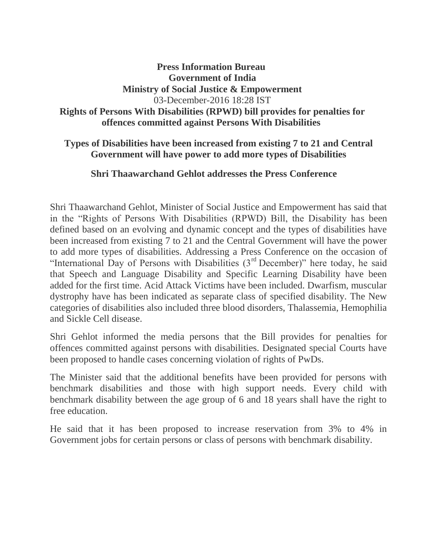## **Press Information Bureau Government of India Ministry of Social Justice & Empowerment** 03-December-2016 18:28 IST **Rights of Persons With Disabilities (RPWD) bill provides for penalties for offences committed against Persons With Disabilities**

### **Types of Disabilities have been increased from existing 7 to 21 and Central Government will have power to add more types of Disabilities**

#### **Shri Thaawarchand Gehlot addresses the Press Conference**

Shri Thaawarchand Gehlot, Minister of Social Justice and Empowerment has said that in the "Rights of Persons With Disabilities (RPWD) Bill, the Disability has been defined based on an evolving and dynamic concept and the types of disabilities have been increased from existing 7 to 21 and the Central Government will have the power to add more types of disabilities. Addressing a Press Conference on the occasion of "International Day of Persons with Disabilities  $(3<sup>rd</sup>$  December)" here today, he said that Speech and Language Disability and Specific Learning Disability have been added for the first time. Acid Attack Victims have been included. Dwarfism, muscular dystrophy have has been indicated as separate class of specified disability. The New categories of disabilities also included three blood disorders, Thalassemia, Hemophilia and Sickle Cell disease.

Shri Gehlot informed the media persons that the Bill provides for penalties for offences committed against persons with disabilities. Designated special Courts have been proposed to handle cases concerning violation of rights of PwDs.

The Minister said that the additional benefits have been provided for persons with benchmark disabilities and those with high support needs. Every child with benchmark disability between the age group of 6 and 18 years shall have the right to free education.

He said that it has been proposed to increase reservation from 3% to 4% in Government jobs for certain persons or class of persons with benchmark disability.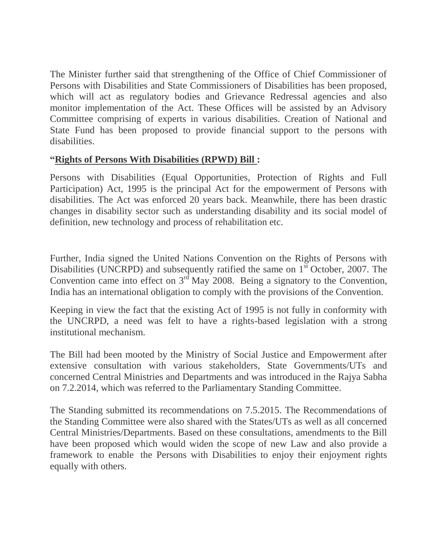The Minister further said that strengthening of the Office of Chief Commissioner of Persons with Disabilities and State Commissioners of Disabilities has been proposed, which will act as regulatory bodies and Grievance Redressal agencies and also monitor implementation of the Act. These Offices will be assisted by an Advisory Committee comprising of experts in various disabilities. Creation of National and State Fund has been proposed to provide financial support to the persons with disabilities.

## **"Rights of Persons With Disabilities (RPWD) Bill :**

Persons with Disabilities (Equal Opportunities, Protection of Rights and Full Participation) Act, 1995 is the principal Act for the empowerment of Persons with disabilities. The Act was enforced 20 years back. Meanwhile, there has been drastic changes in disability sector such as understanding disability and its social model of definition, new technology and process of rehabilitation etc.

Further, India signed the United Nations Convention on the Rights of Persons with Disabilities (UNCRPD) and subsequently ratified the same on  $1<sup>st</sup>$  October, 2007. The Convention came into effect on  $3<sup>rd</sup>$  May 2008. Being a signatory to the Convention, India has an international obligation to comply with the provisions of the Convention.

Keeping in view the fact that the existing Act of 1995 is not fully in conformity with the UNCRPD, a need was felt to have a rights-based legislation with a strong institutional mechanism.

The Bill had been mooted by the Ministry of Social Justice and Empowerment after extensive consultation with various stakeholders, State Governments/UTs and concerned Central Ministries and Departments and was introduced in the Rajya Sabha on 7.2.2014, which was referred to the Parliamentary Standing Committee.

The Standing submitted its recommendations on 7.5.2015. The Recommendations of the Standing Committee were also shared with the States/UTs as well as all concerned Central Ministries/Departments. Based on these consultations, amendments to the Bill have been proposed which would widen the scope of new Law and also provide a framework to enable the Persons with Disabilities to enjoy their enjoyment rights equally with others.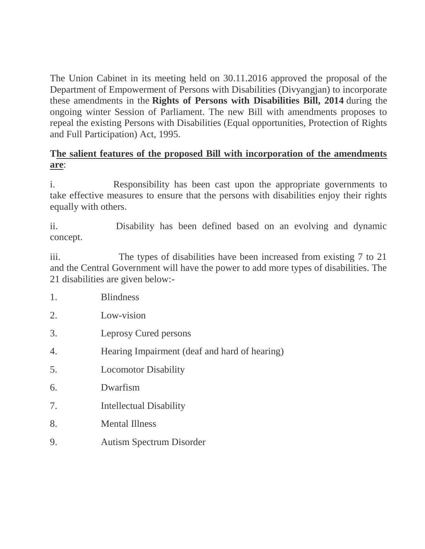The Union Cabinet in its meeting held on 30.11.2016 approved the proposal of the Department of Empowerment of Persons with Disabilities (Divyangjan) to incorporate these amendments in the **Rights of Persons with Disabilities Bill, 2014** during the ongoing winter Session of Parliament. The new Bill with amendments proposes to repeal the existing Persons with Disabilities (Equal opportunities, Protection of Rights and Full Participation) Act, 1995.

# **The salient features of the proposed Bill with incorporation of the amendments are**:

i. Responsibility has been cast upon the appropriate governments to take effective measures to ensure that the persons with disabilities enjoy their rights equally with others.

ii. Disability has been defined based on an evolving and dynamic concept.

iii. The types of disabilities have been increased from existing 7 to 21 and the Central Government will have the power to add more types of disabilities. The 21 disabilities are given below:-

- 1. Blindness
- 2. Low-vision
- 3. Leprosy Cured persons
- 4. Hearing Impairment (deaf and hard of hearing)
- 5. Locomotor Disability
- 6. Dwarfism
- 7. Intellectual Disability
- 8. Mental Illness
- 9. Autism Spectrum Disorder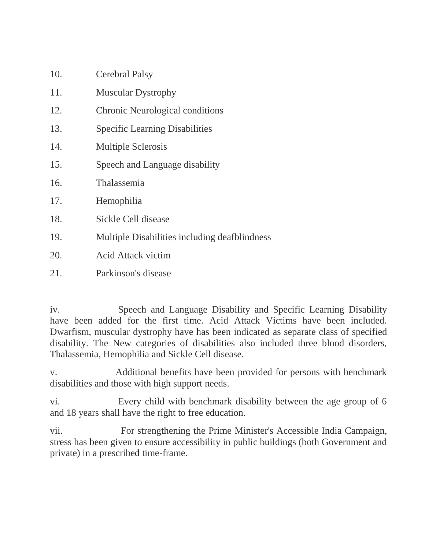| 10. | <b>Cerebral Palsy</b>                         |
|-----|-----------------------------------------------|
| 11. | <b>Muscular Dystrophy</b>                     |
| 12. | <b>Chronic Neurological conditions</b>        |
| 13. | <b>Specific Learning Disabilities</b>         |
| 14. | <b>Multiple Sclerosis</b>                     |
| 15. | Speech and Language disability                |
| 16. | Thalassemia                                   |
| 17. | Hemophilia                                    |
| 18. | Sickle Cell disease                           |
| 19. | Multiple Disabilities including deafblindness |
| 20. | <b>Acid Attack victim</b>                     |
| 21. | Parkinson's disease                           |

iv. Speech and Language Disability and Specific Learning Disability have been added for the first time. Acid Attack Victims have been included. Dwarfism, muscular dystrophy have has been indicated as separate class of specified disability. The New categories of disabilities also included three blood disorders, Thalassemia, Hemophilia and Sickle Cell disease.

v. Additional benefits have been provided for persons with benchmark disabilities and those with high support needs.

vi. Every child with benchmark disability between the age group of 6 and 18 years shall have the right to free education.

vii. For strengthening the Prime Minister's Accessible India Campaign, stress has been given to ensure accessibility in public buildings (both Government and private) in a prescribed time-frame.